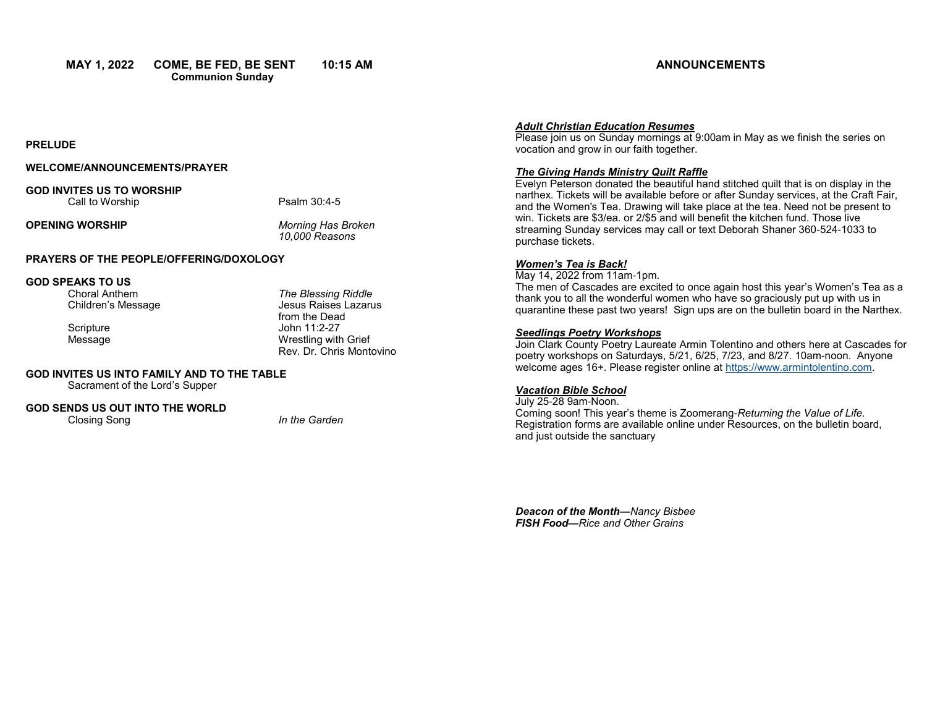**MAY 1, 2022 COME, BE FED, BE SENT 10:15 AM Communion Sunday** 

## **ANNOUNCEMENTS**

#### **PRELUDE**

### **WELCOME/ANNOUNCEMENTS/PRAYER**

#### **GOD INVITES US TO WORSHIP** Call to Worship **Psalm 30:4-5**

### **OPENING WORSHIP** *Morning Has Broken*

*10,000 Reasons*

#### **PRAYERS OF THE PEOPLE/OFFERING/DOXOLOGY**

# **GOD SPEAKS TO US**

Choral Anthem *The Blessing Riddle* Jesus Raises Lazarus from the Dead Scripture John 11:2-27 Message Wrestling with Grief Rev. Dr. Chris Montovino

# **GOD INVITES US INTO FAMILY AND TO THE TABLE**

Sacrament of the Lord's Supper

#### **GOD SENDS US OUT INTO THE WORLD** Closing Song *In the Garden*

#### *Adult Christian Education Resumes*

Please join us on Sunday mornings at 9:00am in May as we finish the series on vocation and grow in our faith together.

#### *The Giving Hands Ministry Quilt Raffle*

Evelyn Peterson donated the beautiful hand stitched quilt that is on display in the narthex. Tickets will be available before or after Sunday services, at the Craft Fair, and the Women's Tea. Drawing will take place at the tea. Need not be present to win. Tickets are \$3/ea. or 2/\$5 and will benefit the kitchen fund. Those live streaming Sunday services may call or text Deborah Shaner 360-524-1033 to purchase tickets.

#### *Women's Tea is Back!*

May 14, 2022 from 11am-1pm.

The men of Cascades are excited to once again host this year's Women's Tea as a thank you to all the wonderful women who have so graciously put up with us in quarantine these past two years! Sign ups are on the bulletin board in the Narthex.

#### *Seedlings Poetry Workshops*

Join Clark County Poetry Laureate Armin Tolentino and others here at Cascades for poetry workshops on Saturdays, 5/21, 6/25, 7/23, and 8/27. 10am-noon. Anyone welcome ages 16+. Please register online at [https://www.armintolentino.com.](https://www.armintolentino.com) 

## *Vacation Bible School*

July 25-28 9am-Noon. Coming soon! This year's theme is Zoomerang-*Returning the Value of Life.*  Registration forms are available online under Resources, on the bulletin board, and just outside the sanctuary

*Deacon of the Month—Nancy Bisbee FISH Food—Rice and Other Grains*